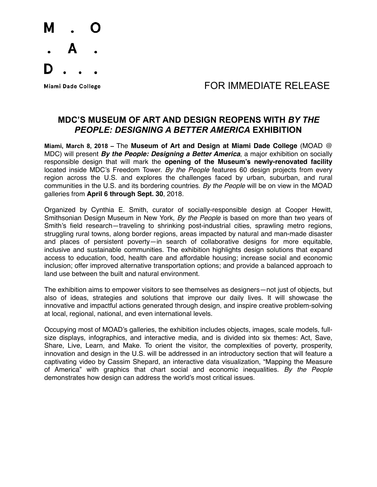

## Miami Dade College **All According to EXAMPOR IMMEDIATE RELEASE**

## **MDC'S MUSEUM OF ART AND DESIGN REOPENS WITH** *BY THE PEOPLE: DESIGNING A BETTER AMERICA* **EXHIBITION**

**Miami, March 8, 2018 –** The **Museum of Art and Design at Miami Dade College** (MOAD @ MDC) will present *By the People: Designing a Better America*, a major exhibition on socially responsible design that will mark the **opening of the Museum's newly-renovated facility** located inside MDC's Freedom Tower. *By the People* features 60 design projects from every region across the U.S. and explores the challenges faced by urban, suburban, and rural communities in the U.S. and its bordering countries. *By the People* will be on view in the MOAD galleries from **April 6 through Sept. 30**, 2018.

Organized by Cynthia E. Smith, curator of socially-responsible design at Cooper Hewitt, Smithsonian Design Museum in New York, *By the People* is based on more than two years of Smith's field research—traveling to shrinking post-industrial cities, sprawling metro regions, struggling rural towns, along border regions, areas impacted by natural and man-made disaster and places of persistent poverty—in search of collaborative designs for more equitable, inclusive and sustainable communities. The exhibition highlights design solutions that expand access to education, food, health care and affordable housing; increase social and economic inclusion; offer improved alternative transportation options; and provide a balanced approach to land use between the built and natural environment.

The exhibition aims to empower visitors to see themselves as designers—not just of objects, but also of ideas, strategies and solutions that improve our daily lives. It will showcase the innovative and impactful actions generated through design, and inspire creative problem-solving at local, regional, national, and even international levels.

Occupying most of MOAD's galleries, the exhibition includes objects, images, scale models, fullsize displays, infographics, and interactive media, and is divided into six themes: Act, Save, Share, Live, Learn, and Make. To orient the visitor, the complexities of poverty, prosperity, innovation and design in the U.S. will be addressed in an introductory section that will feature a captivating video by Cassim Shepard, an interactive data visualization, "Mapping the Measure of America" with graphics that chart social and economic inequalities. *By the People* demonstrates how design can address the world's most critical issues.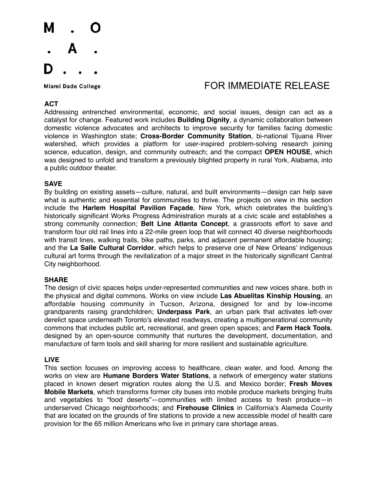

# Miami Dade College **All According to EXAMPOR IMMEDIATE RELEASE**

### **ACT**

Addressing entrenched environmental, economic, and social issues, design can act as a catalyst for change. Featured work includes **Building Dignity**, a dynamic collaboration between domestic violence advocates and architects to improve security for families facing domestic violence in Washington state; **Cross-Border Community Station**, bi-national Tijuana River watershed, which provides a platform for user-inspired problem-solving research joining science, education, design, and community outreach; and the compact **OPEN HOUSE**, which was designed to unfold and transform a previously blighted property in rural York, Alabama, into a public outdoor theater.

### **SAVE**

By building on existing assets—culture, natural, and built environments—design can help save what is authentic and essential for communities to thrive. The projects on view in this section include the **Harlem Hospital Pavilion Façade**, New York, which celebrates the building's historically significant Works Progress Administration murals at a civic scale and establishes a strong community connection; **Belt Line Atlanta Concept**, a grassroots effort to save and transform four old rail lines into a 22-mile green loop that will connect 40 diverse neighborhoods with transit lines, walking trails, bike paths, parks, and adjacent permanent affordable housing; and the **La Salle Cultural Corridor**, which helps to preserve one of New Orleans' indigenous cultural art forms through the revitalization of a major street in the historically significant Central City neighborhood.

#### **SHARE**

The design of civic spaces helps under-represented communities and new voices share, both in the physical and digital commons. Works on view include **Las Abuelitas Kinship Housing**, an affordable housing community in Tucson, Arizona, designed for and by low-income grandparents raising grandchildren; **Underpass Park**, an urban park that activates left-over derelict space underneath Toronto's elevated roadways, creating a multigenerational community commons that includes public art, recreational, and green open spaces; and **Farm Hack Tools**, designed by an open-source community that nurtures the development, documentation, and manufacture of farm tools and skill sharing for more resilient and sustainable agriculture.

#### **LIVE**

This section focuses on improving access to healthcare, clean water, and food. Among the works on view are **Humane Borders Water Stations**, a network of emergency water stations placed in known desert migration routes along the U.S. and Mexico border; **Fresh Moves Mobile Markets**, which transforms former city buses into mobile produce markets bringing fruits and vegetables to "food deserts"—communities with limited access to fresh produce—in underserved Chicago neighborhoods; and **Firehouse Clinics** in California's Alameda County that are located on the grounds of fire stations to provide a new accessible model of health care provision for the 65 million Americans who live in primary care shortage areas.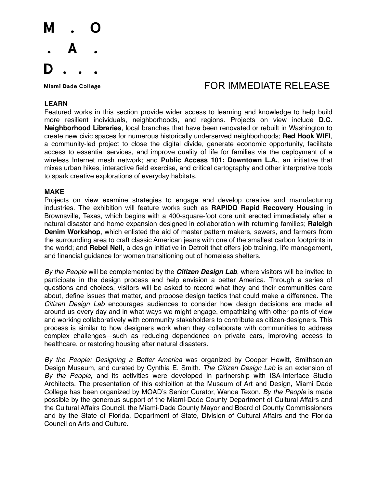

# Miami Dade College **Algebra 1999 TOR IMMEDIATE RELEASE**

### **LEARN**

Featured works in this section provide wider access to learning and knowledge to help build more resilient individuals, neighborhoods, and regions. Projects on view include **D.C. Neighborhood Libraries**, local branches that have been renovated or rebuilt in Washington to create new civic spaces for numerous historically underserved neighborhoods; **Red Hook WIFI**, a community-led project to close the digital divide, generate economic opportunity, facilitate access to essential services, and improve quality of life for families via the deployment of a wireless Internet mesh network; and **Public Access 101: Downtown L.A.**, an initiative that mixes urban hikes, interactive field exercise, and critical cartography and other interpretive tools to spark creative explorations of everyday habitats.

#### **MAKE**

Projects on view examine strategies to engage and develop creative and manufacturing industries. The exhibition will feature works such as **RAPIDO Rapid Recovery Housing** in Brownsville, Texas, which begins with a 400-square-foot core unit erected immediately after a natural disaster and home expansion designed in collaboration with returning families; **Raleigh Denim Workshop**, which enlisted the aid of master pattern makers, sewers, and farmers from the surrounding area to craft classic American jeans with one of the smallest carbon footprints in the world; and **Rebel Nell**, a design initiative in Detroit that offers job training, life management, and financial guidance for women transitioning out of homeless shelters.

*By the People* will be complemented by the *Citizen Design Lab*, where visitors will be invited to participate in the design process and help envision a better America. Through a series of questions and choices, visitors will be asked to record what they and their communities care about, define issues that matter, and propose design tactics that could make a difference. The *Citizen Design Lab* encourages audiences to consider how design decisions are made all around us every day and in what ways we might engage, empathizing with other points of view and working collaboratively with community stakeholders to contribute as citizen-designers. This process is similar to how designers work when they collaborate with communities to address complex challenges—such as reducing dependence on private cars, improving access to healthcare, or restoring housing after natural disasters.

*By the People: Designing a Better America* was organized by Cooper Hewitt, Smithsonian Design Museum, and curated by Cynthia E. Smith. *The Citizen Design Lab* is an extension of *By the People*, and its activities were developed in partnership with ISA-Interface Studio Architects. The presentation of this exhibition at the Museum of Art and Design, Miami Dade College has been organized by MOAD's Senior Curator, Wanda Texon. *By the People* is made possible by the generous support of the Miami-Dade County Department of Cultural Affairs and the Cultural Affairs Council, the Miami-Dade County Mayor and Board of County Commissioners and by the State of Florida, Department of State, Division of Cultural Affairs and the Florida Council on Arts and Culture.